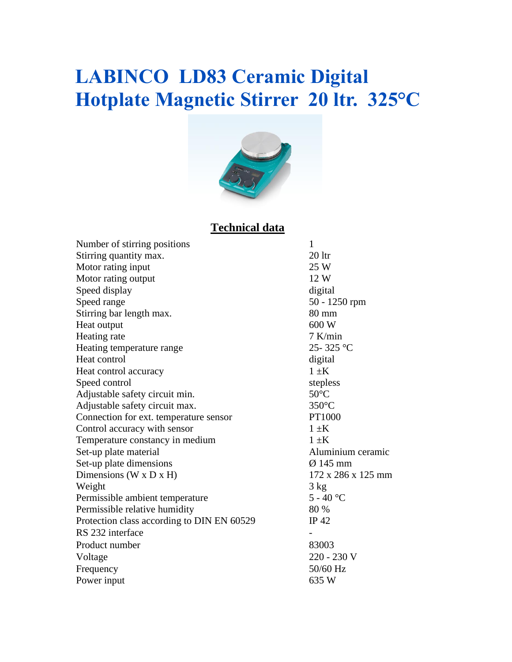## **LABINCO LD83 Ceramic Digital Hotplate Magnetic Stirrer 20 ltr. 325°C**



### **Technical data**

| Number of stirring positions               | $\mathbf{1}$       |
|--------------------------------------------|--------------------|
| Stirring quantity max.                     | $20$ ltr           |
| Motor rating input                         | 25 W               |
| Motor rating output                        | 12 W               |
| Speed display                              | digital            |
| Speed range                                | 50 - 1250 rpm      |
| Stirring bar length max.                   | 80 mm              |
| Heat output                                | 600 W              |
| Heating rate                               | $7$ K/min          |
| Heating temperature range                  | 25-325 °C          |
| Heat control                               | digital            |
| Heat control accuracy                      | $1 \pm K$          |
| Speed control                              | stepless           |
| Adjustable safety circuit min.             | $50^{\circ}$ C     |
| Adjustable safety circuit max.             | $350^{\circ}$ C    |
| Connection for ext. temperature sensor     | PT1000             |
| Control accuracy with sensor               | $1 \pm K$          |
| Temperature constancy in medium            | $1 \pm K$          |
| Set-up plate material                      | Aluminium ceramic  |
| Set-up plate dimensions                    | $Ø$ 145 mm         |
| Dimensions ( $W \times D \times H$ )       | 172 x 286 x 125 mm |
| Weight                                     | $3 \text{ kg}$     |
| Permissible ambient temperature            | $5 - 40 °C$        |
| Permissible relative humidity              | 80 %               |
| Protection class according to DIN EN 60529 | IP $42$            |
| RS 232 interface                           |                    |
| Product number                             | 83003              |
| Voltage                                    | 220 - 230 V        |
| Frequency                                  | 50/60 Hz           |
| Power input                                | 635 W              |